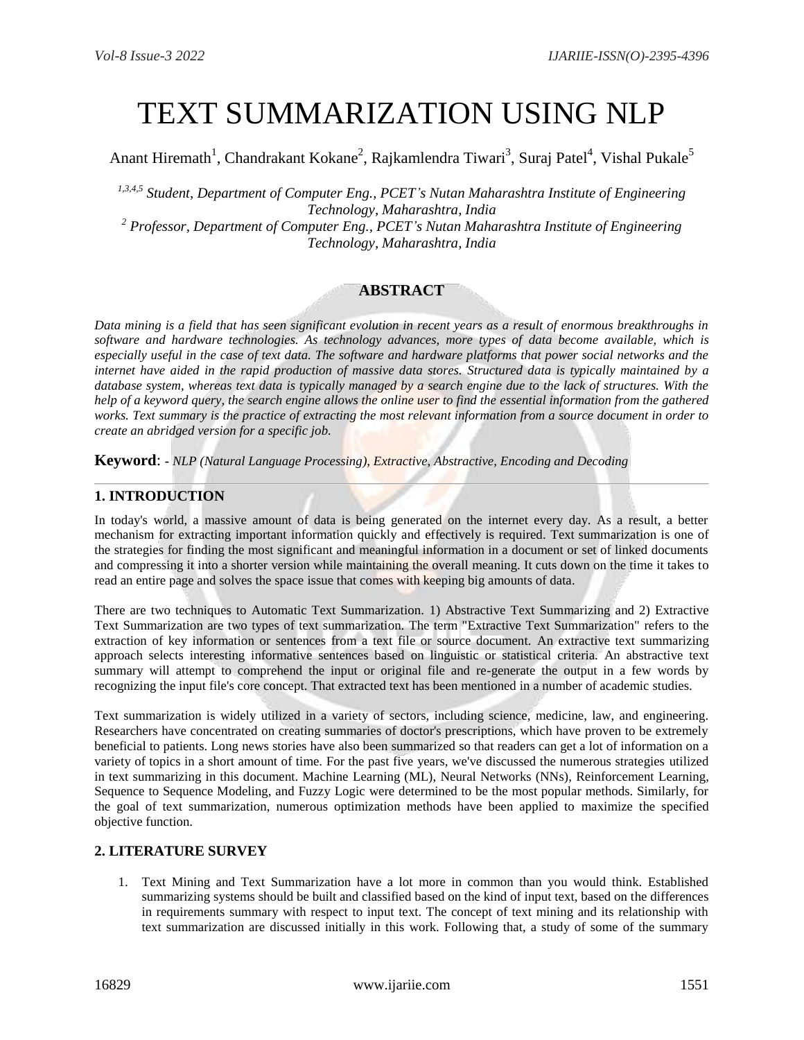# TEXT SUMMARIZATION USING NLP

Anant Hiremath<sup>1</sup>, Chandrakant Kokane<sup>2</sup>, Rajkamlendra Tiwari<sup>3</sup>, Suraj Patel<sup>4</sup>, Vishal Pukale<sup>5</sup>

*1,3,4,5 Student, Department of Computer Eng., PCET's Nutan Maharashtra Institute of Engineering Technology, Maharashtra, India*

*<sup>2</sup> Professor, Department of Computer Eng., PCET's Nutan Maharashtra Institute of Engineering Technology, Maharashtra, India*

## **ABSTRACT**

*Data mining is a field that has seen significant evolution in recent years as a result of enormous breakthroughs in software and hardware technologies. As technology advances, more types of data become available, which is especially useful in the case of text data. The software and hardware platforms that power social networks and the internet have aided in the rapid production of massive data stores. Structured data is typically maintained by a database system, whereas text data is typically managed by a search engine due to the lack of structures. With the help of a keyword query, the search engine allows the online user to find the essential information from the gathered works. Text summary is the practice of extracting the most relevant information from a source document in order to create an abridged version for a specific job.*

**Keyword**: **-** *NLP (Natural Language Processing), Extractive, Abstractive, Encoding and Decoding*

## **1. INTRODUCTION**

In today's world, a massive amount of data is being generated on the internet every day. As a result, a better mechanism for extracting important information quickly and effectively is required. Text summarization is one of the strategies for finding the most significant and meaningful information in a document or set of linked documents and compressing it into a shorter version while maintaining the overall meaning. It cuts down on the time it takes to read an entire page and solves the space issue that comes with keeping big amounts of data.

There are two techniques to Automatic Text Summarization. 1) Abstractive Text Summarizing and 2) Extractive Text Summarization are two types of text summarization. The term "Extractive Text Summarization" refers to the extraction of key information or sentences from a text file or source document. An extractive text summarizing approach selects interesting informative sentences based on linguistic or statistical criteria. An abstractive text summary will attempt to comprehend the input or original file and re-generate the output in a few words by recognizing the input file's core concept. That extracted text has been mentioned in a number of academic studies.

Text summarization is widely utilized in a variety of sectors, including science, medicine, law, and engineering. Researchers have concentrated on creating summaries of doctor's prescriptions, which have proven to be extremely beneficial to patients. Long news stories have also been summarized so that readers can get a lot of information on a variety of topics in a short amount of time. For the past five years, we've discussed the numerous strategies utilized in text summarizing in this document. Machine Learning (ML), Neural Networks (NNs), Reinforcement Learning, Sequence to Sequence Modeling, and Fuzzy Logic were determined to be the most popular methods. Similarly, for the goal of text summarization, numerous optimization methods have been applied to maximize the specified objective function.

#### **2. LITERATURE SURVEY**

1. Text Mining and Text Summarization have a lot more in common than you would think. Established summarizing systems should be built and classified based on the kind of input text, based on the differences in requirements summary with respect to input text. The concept of text mining and its relationship with text summarization are discussed initially in this work. Following that, a study of some of the summary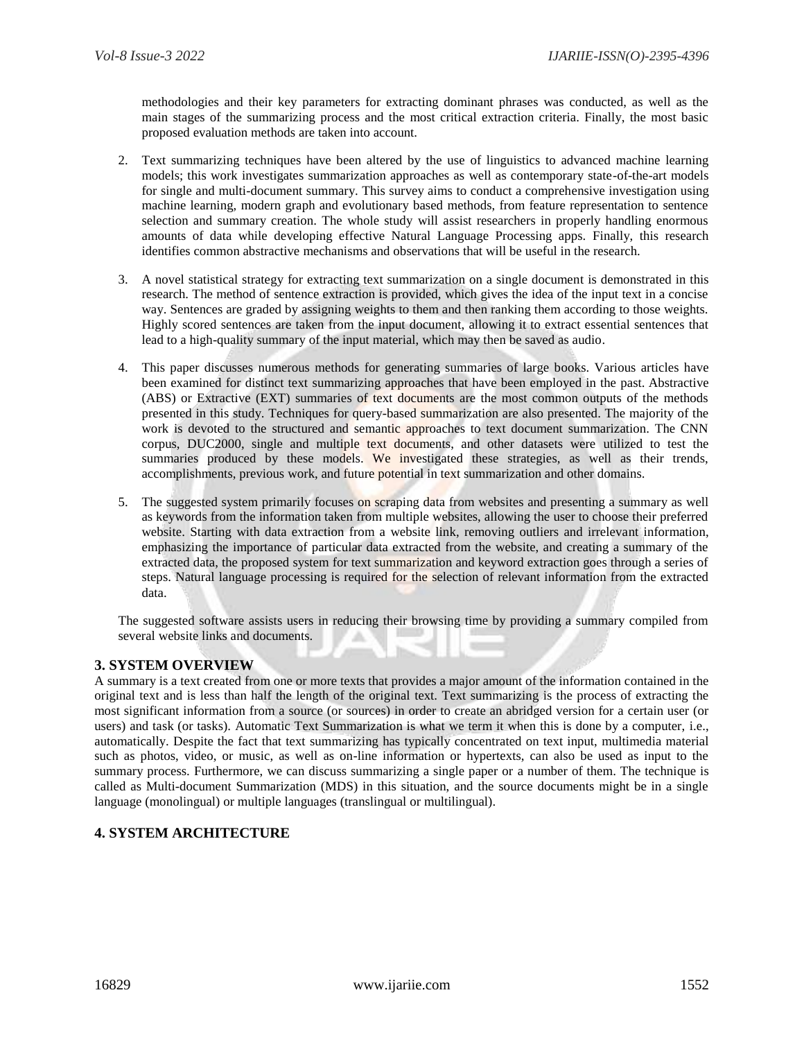methodologies and their key parameters for extracting dominant phrases was conducted, as well as the main stages of the summarizing process and the most critical extraction criteria. Finally, the most basic proposed evaluation methods are taken into account.

- 2. Text summarizing techniques have been altered by the use of linguistics to advanced machine learning models; this work investigates summarization approaches as well as contemporary state-of-the-art models for single and multi-document summary. This survey aims to conduct a comprehensive investigation using machine learning, modern graph and evolutionary based methods, from feature representation to sentence selection and summary creation. The whole study will assist researchers in properly handling enormous amounts of data while developing effective Natural Language Processing apps. Finally, this research identifies common abstractive mechanisms and observations that will be useful in the research.
- 3. A novel statistical strategy for extracting text summarization on a single document is demonstrated in this research. The method of sentence extraction is provided, which gives the idea of the input text in a concise way. Sentences are graded by assigning weights to them and then ranking them according to those weights. Highly scored sentences are taken from the input document, allowing it to extract essential sentences that lead to a high-quality summary of the input material, which may then be saved as audio.
- 4. This paper discusses numerous methods for generating summaries of large books. Various articles have been examined for distinct text summarizing approaches that have been employed in the past. Abstractive (ABS) or Extractive (EXT) summaries of text documents are the most common outputs of the methods presented in this study. Techniques for query-based summarization are also presented. The majority of the work is devoted to the structured and semantic approaches to text document summarization. The CNN corpus, DUC2000, single and multiple text documents, and other datasets were utilized to test the summaries produced by these models. We investigated these strategies, as well as their trends, accomplishments, previous work, and future potential in text summarization and other domains.
- 5. The suggested system primarily focuses on scraping data from websites and presenting a summary as well as keywords from the information taken from multiple websites, allowing the user to choose their preferred website. Starting with data extraction from a website link, removing outliers and irrelevant information, emphasizing the importance of particular data extracted from the website, and creating a summary of the extracted data, the proposed system for text summarization and keyword extraction goes through a series of steps. Natural language processing is required for the selection of relevant information from the extracted data.

The suggested software assists users in reducing their browsing time by providing a summary compiled from several website links and documents.

## **3. SYSTEM OVERVIEW**

A summary is a text created from one or more texts that provides a major amount of the information contained in the original text and is less than half the length of the original text. Text summarizing is the process of extracting the most significant information from a source (or sources) in order to create an abridged version for a certain user (or users) and task (or tasks). Automatic Text Summarization is what we term it when this is done by a computer, i.e., automatically. Despite the fact that text summarizing has typically concentrated on text input, multimedia material such as photos, video, or music, as well as on-line information or hypertexts, can also be used as input to the summary process. Furthermore, we can discuss summarizing a single paper or a number of them. The technique is called as Multi-document Summarization (MDS) in this situation, and the source documents might be in a single language (monolingual) or multiple languages (translingual or multilingual).

## **4. SYSTEM ARCHITECTURE**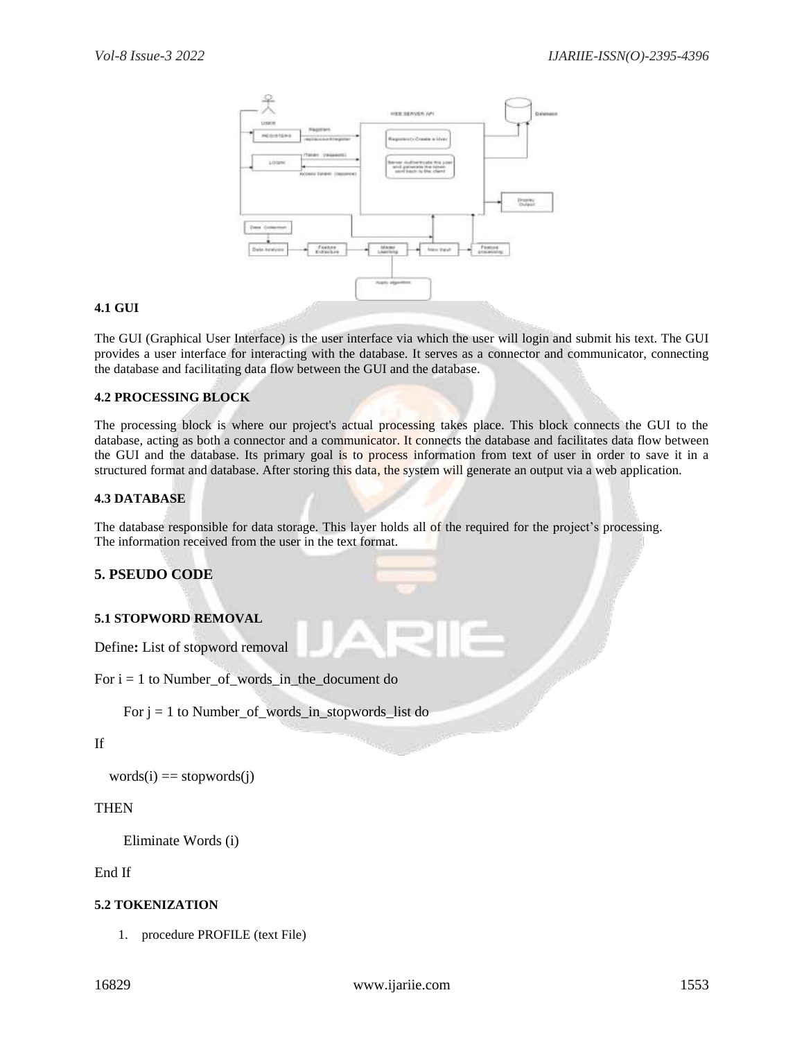

#### **4.1 GUI**

The GUI (Graphical User Interface) is the user interface via which the user will login and submit his text. The GUI provides a user interface for interacting with the database. It serves as a connector and communicator, connecting the database and facilitating data flow between the GUI and the database.

#### **4.2 PROCESSING BLOCK**

The processing block is where our project's actual processing takes place. This block connects the GUI to the database, acting as both a connector and a communicator. It connects the database and facilitates data flow between the GUI and the database. Its primary goal is to process information from text of user in order to save it in a structured format and database. After storing this data, the system will generate an output via a web application.

#### **4.3 DATABASE**

The database responsible for data storage. This layer holds all of the required for the project's processing. The information received from the user in the text format.

## **5. PSEUDO CODE**

#### **5.1 STOPWORD REMOVAL**

Define**:** List of stopword removal

For  $i = 1$  to Number\_of\_words\_in\_the\_document do

For  $j = 1$  to Number\_of\_words\_in\_stopwords\_list do

#### If

 $words(i) == stopwords(i)$ 

#### **THEN**

Eliminate Words (i)

#### End If

#### **5.2 TOKENIZATION**

1. procedure PROFILE (text File)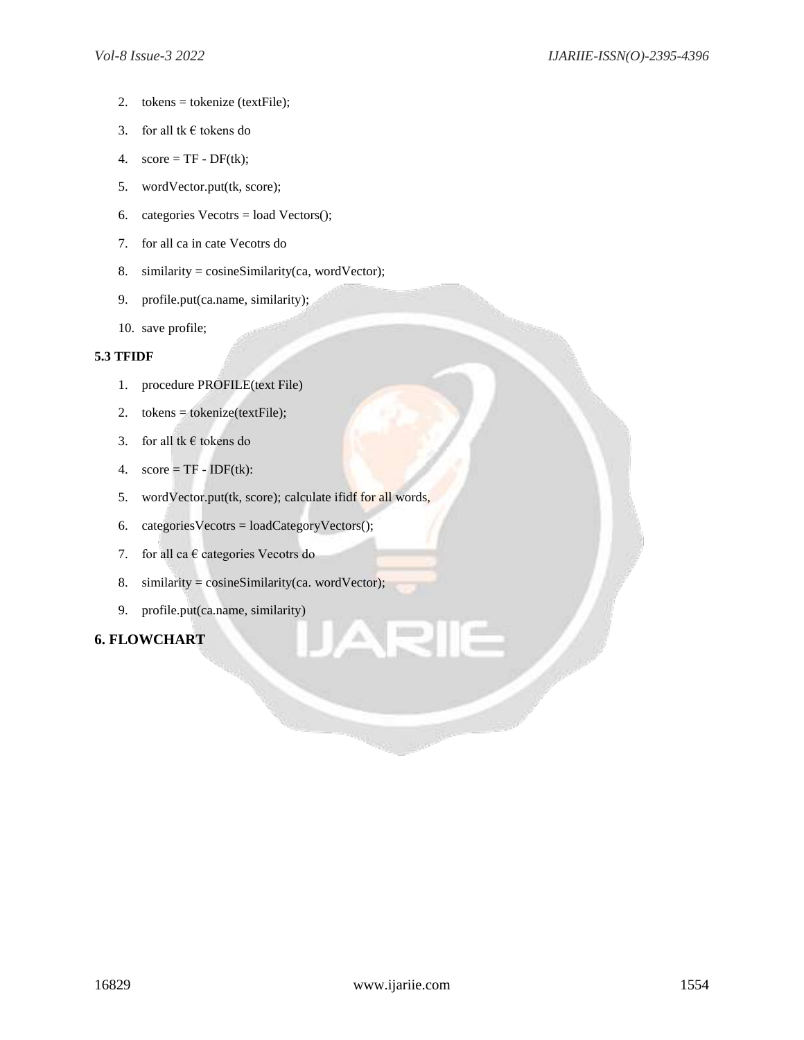- 2. tokens = tokenize (textFile);
- 3. for all tk  $\epsilon$  tokens do
- 4.  $score = TF DF(tk);$
- 5. wordVector.put(tk, score);
- 6. categories  $Vectors = load Vectors$ ;
- 7. for all ca in cate Vecotrs do
- 8. similarity =  $cosineSimilarity(ca, wordVector);$
- 9. profile.put(ca.name, similarity);
- 10. save profile;

#### **5.3 TFIDF**

- 1. procedure PROFILE(text File)
- 2. tokens = tokenize(textFile);
- 3. for all tk  $\epsilon$  tokens do
- 4.  $score = TF IDF(tk)$ :
- 5. wordVector.put(tk, score); calculate ifidf for all words,
- 6. categoriesVecotrs = loadCategoryVectors();
- 7. for all ca  $\epsilon$  categories Vecotrs do
- 8. similarity =  $cosineSimilarity(ca. wordVector);$
- 9. profile.put(ca.name, similarity)

## **6. FLOWCHART**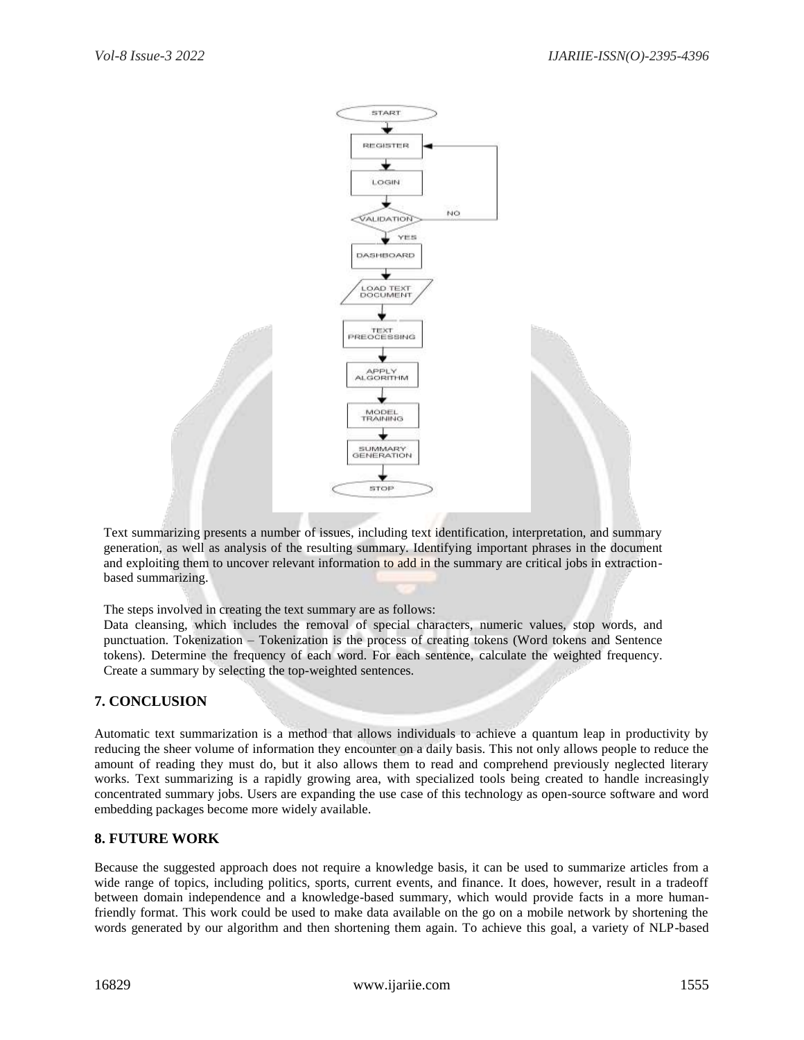

Text summarizing presents a number of issues, including text identification, interpretation, and summary generation, as well as analysis of the resulting summary. Identifying important phrases in the document and exploiting them to uncover relevant information to add in the summary are critical jobs in extractionbased summarizing.

The steps involved in creating the text summary are as follows:

Data cleansing, which includes the removal of special characters, numeric values, stop words, and punctuation. Tokenization – Tokenization is the process of creating tokens (Word tokens and Sentence tokens). Determine the frequency of each word. For each sentence, calculate the weighted frequency. Create a summary by selecting the top-weighted sentences.

## **7. CONCLUSION**

Automatic text summarization is a method that allows individuals to achieve a quantum leap in productivity by reducing the sheer volume of information they encounter on a daily basis. This not only allows people to reduce the amount of reading they must do, but it also allows them to read and comprehend previously neglected literary works. Text summarizing is a rapidly growing area, with specialized tools being created to handle increasingly concentrated summary jobs. Users are expanding the use case of this technology as open-source software and word embedding packages become more widely available.

## **8. FUTURE WORK**

Because the suggested approach does not require a knowledge basis, it can be used to summarize articles from a wide range of topics, including politics, sports, current events, and finance. It does, however, result in a tradeoff between domain independence and a knowledge-based summary, which would provide facts in a more humanfriendly format. This work could be used to make data available on the go on a mobile network by shortening the words generated by our algorithm and then shortening them again. To achieve this goal, a variety of NLP-based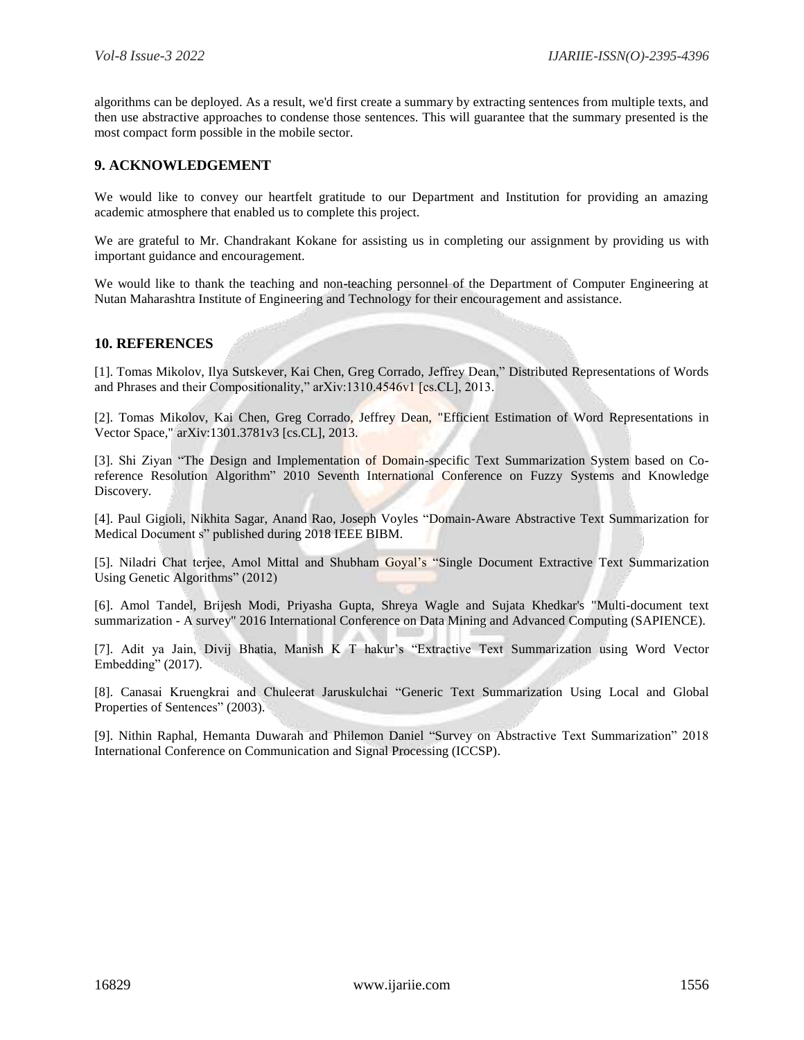algorithms can be deployed. As a result, we'd first create a summary by extracting sentences from multiple texts, and then use abstractive approaches to condense those sentences. This will guarantee that the summary presented is the most compact form possible in the mobile sector.

### **9. ACKNOWLEDGEMENT**

We would like to convey our heartfelt gratitude to our Department and Institution for providing an amazing academic atmosphere that enabled us to complete this project.

We are grateful to Mr. Chandrakant Kokane for assisting us in completing our assignment by providing us with important guidance and encouragement.

We would like to thank the teaching and non-teaching personnel of the Department of Computer Engineering at Nutan Maharashtra Institute of Engineering and Technology for their encouragement and assistance.

#### **10. REFERENCES**

[1]. Tomas Mikolov, Ilya Sutskever, Kai Chen, Greg Corrado, Jeffrey Dean," Distributed Representations of Words and Phrases and their Compositionality," arXiv:1310.4546v1 [cs.CL], 2013.

[2]. Tomas Mikolov, Kai Chen, Greg Corrado, Jeffrey Dean, "Efficient Estimation of Word Representations in Vector Space," arXiv:1301.3781v3 [cs.CL], 2013.

[3]. Shi Ziyan "The Design and Implementation of Domain-specific Text Summarization System based on Coreference Resolution Algorithm" 2010 Seventh International Conference on Fuzzy Systems and Knowledge Discovery.

[4]. Paul Gigioli, Nikhita Sagar, Anand Rao, Joseph Voyles "Domain-Aware Abstractive Text Summarization for Medical Document s" published during 2018 IEEE BIBM.

[5]. Niladri Chat terjee, Amol Mittal and Shubham Goyal's "Single Document Extractive Text Summarization Using Genetic Algorithms" (2012)

[6]. Amol Tandel, Brijesh Modi, Priyasha Gupta, Shreya Wagle and Sujata Khedkar's "Multi-document text summarization - A survey" 2016 International Conference on Data Mining and Advanced Computing (SAPIENCE).

[7]. Adit ya Jain, Divij Bhatia, Manish K T hakur's "Extractive Text Summarization using Word Vector Embedding" (2017).

[8]. Canasai Kruengkrai and Chuleerat Jaruskulchai "Generic Text Summarization Using Local and Global Properties of Sentences" (2003).

[9]. Nithin Raphal, Hemanta Duwarah and Philemon Daniel "Survey on Abstractive Text Summarization" 2018 International Conference on Communication and Signal Processing (ICCSP).